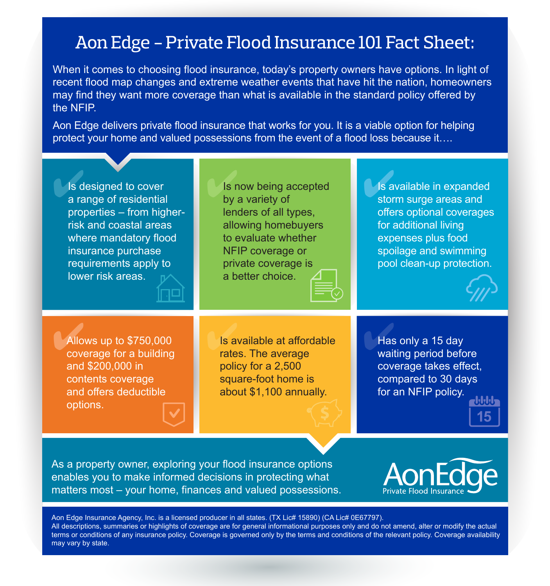## Aon Edge - Private Flood Insurance 101 Fact Sheet:

When it comes to choosing flood insurance, today's property owners have options. In light of recent flood map changes and extreme weather events that have hit the nation, homeowners may find they want more coverage than what is available in the standard policy offered by the NFIP.

Aon Edge delivers private flood insurance that works for you. It is a viable option for helping protect your home and valued possessions from the event of a flood loss because it….



As a property owner, exploring your flood insurance options enables you to make informed decisions in protecting what matters most – your home, finances and valued possessions.



Aon Edge Insurance Agency, Inc. is a licensed producer in all states. (TX Lic# 15890) (CA Lic# 0E67797). All descriptions, summaries or highlights of coverage are for general informational purposes only and do not amend, alter or modify the actual terms or conditions of any insurance policy. Coverage is governed only by the terms and conditions of the relevant policy. Coverage availability may vary by state.